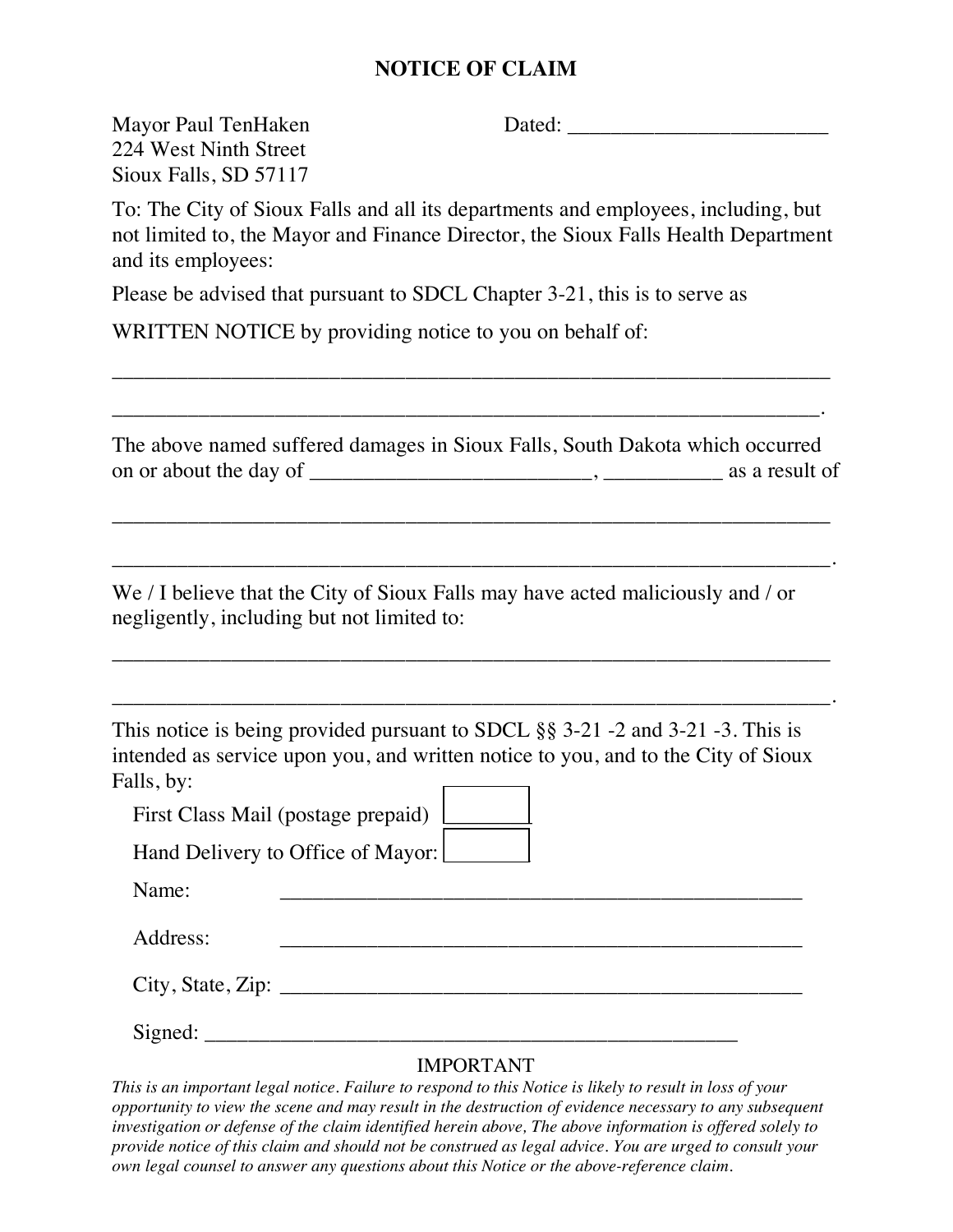## **NOTICE OF CLAIM**

Mayor Paul TenHaken Dated: \_\_\_\_\_\_\_\_\_\_\_\_\_\_\_\_\_\_\_\_\_\_\_\_

224 West Ninth Street Sioux Falls, SD 57117

To: The City of Sioux Falls and all its departments and employees, including, but not limited to, the Mayor and Finance Director, the Sioux Falls Health Department and its employees:

Please be advised that pursuant to SDCL Chapter 3-21, this is to serve as

WRITTEN NOTICE by providing notice to you on behalf of:

The above named suffered damages in Sioux Falls, South Dakota which occurred on or about the day of \_\_\_\_\_\_\_\_\_\_\_\_\_\_\_\_\_\_\_\_\_\_\_\_\_\_, \_\_\_\_\_\_\_\_\_\_\_ as a result of

\_\_\_\_\_\_\_\_\_\_\_\_\_\_\_\_\_\_\_\_\_\_\_\_\_\_\_\_\_\_\_\_\_\_\_\_\_\_\_\_\_\_\_\_\_\_\_\_\_\_\_\_\_\_\_\_\_\_\_\_\_\_\_\_\_\_

\_\_\_\_\_\_\_\_\_\_\_\_\_\_\_\_\_\_\_\_\_\_\_\_\_\_\_\_\_\_\_\_\_\_\_\_\_\_\_\_\_\_\_\_\_\_\_\_\_\_\_\_\_\_\_\_\_\_\_\_\_\_\_\_\_\_.

\_\_\_\_\_\_\_\_\_\_\_\_\_\_\_\_\_\_\_\_\_\_\_\_\_\_\_\_\_\_\_\_\_\_\_\_\_\_\_\_\_\_\_\_\_\_\_\_\_\_\_\_\_\_\_\_\_\_\_\_\_\_\_\_\_\_

\_\_\_\_\_\_\_\_\_\_\_\_\_\_\_\_\_\_\_\_\_\_\_\_\_\_\_\_\_\_\_\_\_\_\_\_\_\_\_\_\_\_\_\_\_\_\_\_\_\_\_\_\_\_\_\_\_\_\_\_\_\_\_\_\_\_.

\_\_\_\_\_\_\_\_\_\_\_\_\_\_\_\_\_\_\_\_\_\_\_\_\_\_\_\_\_\_\_\_\_\_\_\_\_\_\_\_\_\_\_\_\_\_\_\_\_\_\_\_\_\_\_\_\_\_\_\_\_\_\_\_\_\_

\_\_\_\_\_\_\_\_\_\_\_\_\_\_\_\_\_\_\_\_\_\_\_\_\_\_\_\_\_\_\_\_\_\_\_\_\_\_\_\_\_\_\_\_\_\_\_\_\_\_\_\_\_\_\_\_\_\_\_\_\_\_\_\_\_.

We / I believe that the City of Sioux Falls may have acted maliciously and / or negligently, including but not limited to:

This notice is being provided pursuant to SDCL §§ 3-21 -2 and 3-21 -3. This is intended as service upon you, and written notice to you, and to the City of Sioux Falls, by:  $\overline{\phantom{a}}$ ┑

First Class Mail (postage prepaid)

Hand Delivery to Office of Mayor:

Name:

Address: \_\_\_\_\_\_\_\_\_\_\_\_\_\_\_\_\_\_\_\_\_\_\_\_\_\_\_\_\_\_\_\_\_\_\_\_\_\_\_\_\_\_\_\_\_\_\_\_

 $City, State, Zip:$ 

Signed: \_\_\_\_\_\_\_\_\_\_\_\_\_\_\_\_\_\_\_\_\_\_\_\_\_\_\_\_\_\_\_\_\_\_\_\_\_\_\_\_\_\_\_\_\_\_\_\_\_

## IMPORTANT

*This is an important legal notice. Failure to respond to this Notice is likely to result in loss of your opportunity to view the scene and may result in the destruction of evidence necessary to any subsequent investigation or defense of the claim identified herein above, The above information is offered solely to provide notice of this claim and should not be construed as legal advice. You are urged to consult your own legal counsel to answer any questions about this Notice or the above-reference claim.*